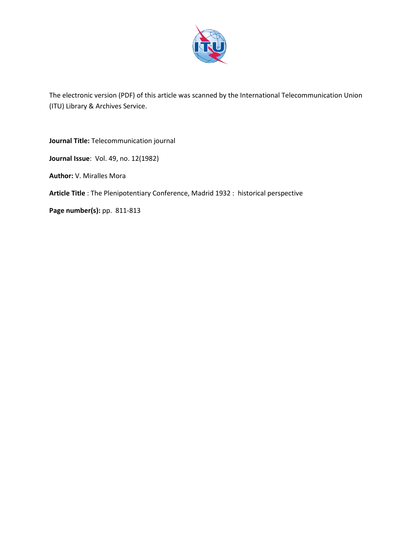

The electronic version (PDF) of this article was scanned by the International Telecommunication Union (ITU) Library & Archives Service.

**Journal Title:** Telecommunication journal **Journal Issue**: Vol. 49, no. 12(1982) **Author:** V. Miralles Mora **Article Title** : The Plenipotentiary Conference, Madrid 1932 : historical perspective **Page number(s):** pp. 811-813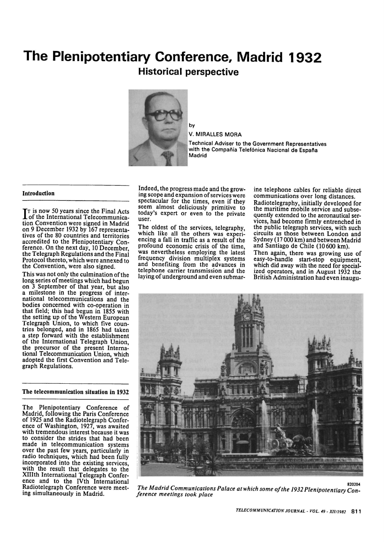# **The Plenipotentiary Conference, Madrid 1932 Historical perspective**



by

V. MIRALLES MORA

Technical Adviser to the Government Representatives with the Compañía Telefónica Nacional de España Madrid

### Introduction

IT is now 50 years since the Final Acts<br>of the International Telecommunica-<br>tion Convention was signed in Madrid of the International Telecommunication Convention were signed in Madrid on 9 December 1932 by 167 representatives of the 80 countries and territories accredited to the Plenipotentiary Conference. On the next day, 10 December, the Telegraph Regulations and the Final Protocol thereto, which were annexed to the Convention, were also signed.

This was not only the culmination of the long series of meetings which had begun on 3 September of that year, but also a milestone in the progress of international telecommunications and the bodies concerned with co-operation in that field; this had begun in 1855 with the setting up of the Western European Telegraph Union, to which five countries belonged, and in 1865 had taken a step forward with the establishment of the International Telegraph Union, the precursor of the present International Telecommunication Union, which adopted the first Convention and Telegraph Regulations.

## The telecommunication situation in 1932

The Plenipotentiary Conference of Madrid, following the Paris Conference of 1925 and the Radiotelegraph Conference of Washington, 1927, was awaited with tremendous interest because it was to consider the strides that had been made in telecommunication systems over the past few years, particularly in radio techniques, which had been fully incorporated into the existing services, with the result that delegates to the XHIth International Telegraph Conference and to the IVth International Radiotelegraph Conference were meeting simultaneously in Madrid.

Indeed, the progress made and the growing scope and expansion of services were spectacular for the times, even if they seem almost deliciously primitive to today's expert or even to the private user.

The oldest of the services, telegraphy, which like all the others was experiencing a fall in traffic as a result of the profound economic crisis of the time, was nevertheless employing the latest frequency division multiplex systems and benefiting from the advances in telephone carrier transmission and the laying of underground and even submarine telephone cables for reliable direct communications over long distances. Radiotelegraphy, initially developed for the maritime mobile service and subsequently extended to the aeronautical services, had become firmly entrenched in the public telegraph services, with such circuits as those between London and Sydney (17 000 km) and between Madrid and Santiago de Chile (10600 km). Then again, there was growing use of easy-to-handle start-stop equipment, which did away with the need for specialized operators, and in August 1932 the British Administration had even inaugu-



*The Madrid Communications Palace at which some of the 1932 Plenipotentiary Con ference meetings took place*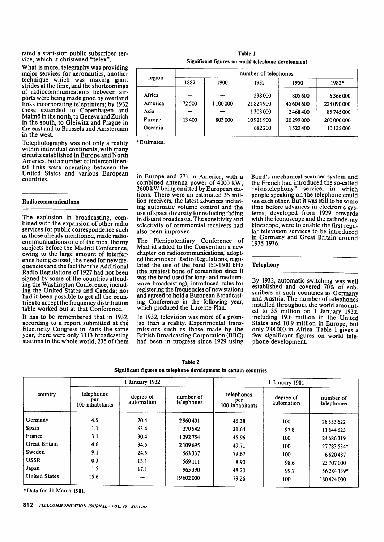rated a start-stop public subscriber service, which it christened "telex".

What is more, telegraphy was providing major services for aeronautics, another technique which was making giant strides at the time, and the shortcomings of radiocommunications between airports were being made good by overland links incorporating teleprinters; by 1932 these extended to Copenhagen and Malmo in the north, to Geneva and Zurich in the south, to Gleiwitz and Prague in the east and to Brussels and Amsterdam in the west.

Telephotography was not only a reality within individual continents, with many circuits established in Europe and North America, but a number of intercontinental links were operating between the United States and various European countries.

## Radiocommunications

The explosion in broadcasting, combined with the expansion of other radio services for public correspondence such as those already mentioned, made radiocommunications one of the most thorny subjects before the Madrid Conference, owing to the large amount of interference being caused, the need for new frequencies and the fact that the Additional Radio Regulations of 1927 had not been signed by some of the countries attending the Washington Conference, including the United States and Canada; nor had it been possible to get all the countries to accept the frequency distribution table worked out at that Conference.

It has to be remembered that in 1932, according to a report submitted at the Electricity Congress in Paris the same year, there were only 1113 broadcasting stations in the whole world, 235 of them

Table 1 Significant figures on world telephone development

| region  | number of telephones |           |          |            |             |  |  |
|---------|----------------------|-----------|----------|------------|-------------|--|--|
|         | 1882                 | 1900      | 1932     | 1950       | 1982*       |  |  |
| Africa  |                      |           | 238000   | 805600     | 6366000     |  |  |
| America | 72500                | 1 100 000 | 21824900 | 45 604 600 | 228 090 000 |  |  |
| Asia    |                      |           | 1303000  | 2468400    | 85 745 000  |  |  |
| Europe  | 13400                | 803000    | 10921900 | 20 299 000 | 200 000 000 |  |  |
| Oceania |                      |           | 682 200  | 1522400    | 10 135 000  |  |  |

Estimates.

in Europe and 771 in America, with a combined antenna power of 4000 kW, 2600 kW being emitted by European stations. There were an estimated 35 million receivers, the latest advances including automatic volume control and the use of space diversity for reducing fading in distant broadcasts. The sensitivity and selectivity of commercial receivers had also been improved.

The Plenipotentiary Conference of Madrid added to the Convention a new chapter on radiocommunications, adopted the annexed Radio Regulations, regulated the use of the band 150-1500 kHz (the greatest bone of contention since it was the band used for long- and mediumwave broadcasting), introduced rules for registering the frequencies of new stations and agreed to hold a European Broadcasting Conference in the following year, which produced the Lucerne Plan.

In 1932, television was more of a promise than a reality. Experimental transmissions such as those made by the British Broadcasting Corporation (BBC) had been in progress since 1929 using Baird's mechanical scanner system and the French had introduced the so-called "visiotelephony" service, in which people speaking on the telephone could see each other. But it was still to be some time before advances in electronic systems, developed from 1929 onwards with the iconoscope and the cathode-ray kinescope, were to enable the first regular television services to be introduced in Germany and Great Britain around 1935-1936.

#### Telephony

By 1932, automatic switching was well established and covered 70% of subscribers in such countries as Germany and Austria. The number of telephones installed throughout the world amounted to 35 million on 1 January 1932, including 19.6 million in the United States and 10.9 million in Europe, but only 238 000 in Africa. Table 1 gives a few significant figures on world telephone development.

| Table 2                                                           |  |  |  |  |  |  |  |
|-------------------------------------------------------------------|--|--|--|--|--|--|--|
| Significant figures on telephone development in certain countries |  |  |  |  |  |  |  |

|                      | 1 January 1932                       |                         |                         | 1 January 1981                       |                         |                         |  |
|----------------------|--------------------------------------|-------------------------|-------------------------|--------------------------------------|-------------------------|-------------------------|--|
| country              | telephones<br>per<br>100 inhabitants | degree of<br>automation | number of<br>telephones | telephones<br>per<br>100 inhabitants | degree of<br>automation | number of<br>telephones |  |
| Germany              | 4.5                                  | 70.4                    | 2960401                 | 46.38                                | 100                     | 28 5 53 6 22            |  |
| Spain                | 1.1                                  | 63.4                    | 270 542                 | 31.64                                | 97.8                    | 11844623                |  |
| France               | 3.1                                  | 30.4                    | 1292754                 | 45.96                                | 100                     | 24 68 6 319             |  |
| <b>Great Britain</b> | 4.6                                  | 34.5                    | 2 109 695               | 49.71                                | 100                     | 27 783 534*             |  |
| Sweden               | 9.1                                  | 24.5                    | 563337                  | 79.67                                | 100                     | 6620487                 |  |
| <b>USSR</b>          | 0.3                                  | 13.1                    | 569 111                 | 8.90                                 | 98.6                    | 23 707 000              |  |
| Japan                | 1.5                                  | 17.1                    | 965390                  | 48.20                                | 99.7                    | 56 284 139*             |  |
| <b>United States</b> | 15.6                                 |                         | 19602000                | 79.26                                | 100                     | 180424000               |  |

•Data for 31 March 1981.